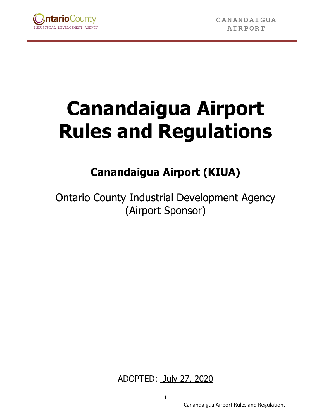

# **Canandaigua Airport Rules and Regulations**

# **Canandaigua Airport (KIUA)**

Ontario County Industrial Development Agency (Airport Sponsor)

ADOPTED: July 27, 2020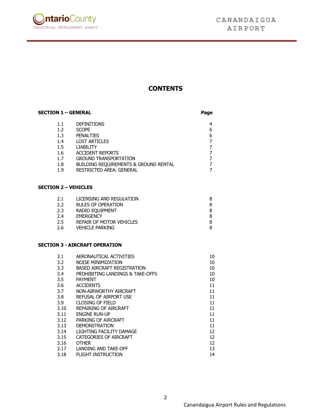

## **CONTENTS**

| <b>SECTION 1 - GENERAL</b> |                                       | Page |
|----------------------------|---------------------------------------|------|
| 1.1                        | <b>DEFINITIONS</b>                    | 4    |
| 1.2                        | <b>SCOPE</b>                          | 6    |
| 1.3                        | <b>PENALTIES</b>                      | 6    |
| 1.4                        | <b>LOST ARTICLES</b>                  |      |
| $1.5\,$                    | <b>LIABILITY</b>                      |      |
| 1.6                        | <b>ACCIDENT REPORTS</b>               |      |
| 1.7                        | <b>GROUND TRANSPORTATION</b>          |      |
| 1.8                        | BUILDING REQUIREMENTS & GROUND RENTAL |      |
| 1.9                        | <b>RESTRICTED AREA: GENERAL</b>       |      |

#### **SECTION 2 – VEHICLES**

| LICENSING AND REGULATION  |   |
|---------------------------|---|
| <b>RULES OF OPERATION</b> |   |
| RADIO EOUIPMENT           |   |
| <b>EMERGENCY</b>          | 8 |
| REPAIR OF MOTOR VEHICLES  |   |
| <b>VEHICLE PARKING</b>    |   |
|                           |   |

#### **SECTION 3 - AIRCRAFT OPERATION**

| 3.1  | AERONAUTICAL ACTIVITIES            | 10 |
|------|------------------------------------|----|
| 3.2  | <b>NOISE MINIMIZATION</b>          | 10 |
| 3.3  | <b>BASED AIRCRAFT REGISTRATION</b> | 10 |
| 3.4  | PROHIBITING LANDINGS & TAKE-OFFS   | 10 |
| 3.5  | <b>PAYMENT</b>                     | 10 |
| 3.6  | <b>ACCIDENTS</b>                   | 11 |
| 3.7  | NON-AIRWORTHY AIRCRAFT             | 11 |
| 3.8  | REFUSAL OF AIRPORT USE             | 11 |
| 3.9  | <b>CLOSING OF FIELD</b>            | 11 |
| 3.10 | REPAIRING OF AIRCRAFT              | 11 |
| 3.11 | <b>ENGINE RUN-UP</b>               | 11 |
| 3.12 | PARKING OF AIRCRAFT                | 11 |
| 3.13 | <b>DEMONSTRATION</b>               | 11 |
| 3.14 | LIGHTING FACILITY DAMAGE           | 12 |
| 3.15 | CATEGORIES OF AIRCRAFT             | 12 |
| 3.16 | <b>OTHER</b>                       | 12 |
| 3.17 | LANDING AND TAKE-OFF               | 13 |
| 3.18 | <b>FLIGHT INSTRUCTION</b>          | 14 |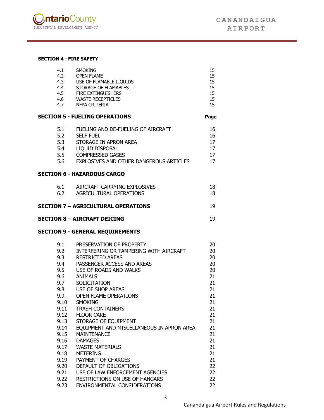

#### **SECTION 4 - FIRE SAFETY**

| 4.1          | <b>SMOKING</b>                                                   | 15       |
|--------------|------------------------------------------------------------------|----------|
| 4.2          | <b>OPEN FLAME</b>                                                | 15       |
| 4.3          | USE OF FLAMABLE LIQUIDS                                          | 15       |
| 4.4          | STORAGE OF FLAMABLES<br>STORAGE OF FLAMMOL<br>FIRE EXTINGUISHERS | 15       |
| 4.5          | 4.6 WASTE RECEPTICLES                                            | 15<br>15 |
|              | 4.7 NFPA CRITERIA                                                | 15       |
|              |                                                                  |          |
|              | <b>SECTION 5 - FUELING OPERATIONS</b>                            | Page     |
| 5.1          | FUELING AND DE-FUELING OF AIRCRAFT                               | 16       |
| 5.2          | <b>SELF FUEL</b>                                                 | 16       |
| 5.3          | STORAGE IN APRON AREA                                            | 17       |
| 5.4          | LIQUID DISPOSAL                                                  | 17       |
| 5.5          | <b>COMPRESSED GASES</b>                                          | 17       |
| 5.6          | EXPLOSIVES AND OTHER DANGEROUS ARTICLES                          | 17       |
|              | <b>SECTION 6 - HAZARDOUS CARGO</b>                               |          |
| 6.1          | AIRCRAFT CARRYING EXPLOSIVES                                     | 18       |
| 6.2          | AGRICULTURAL OPERATIONS                                          | 18       |
|              | <b>SECTION 7 - AGRICULTURAL OPERATIONS</b>                       | 19       |
|              | <b>SECTION 8 - AIRCRAFT DEICING</b>                              | 19       |
|              | <b>SECTION 9 - GENERAL REQUIREMENTS</b>                          |          |
| 9.1          | PRESERVATION OF PROPERTY                                         | 20       |
| 9.2          | INTERFERING OR TAMPERING WITH AIRCRAFT                           | 20       |
| 9.3          | <b>RESTRICTED AREAS</b>                                          | 20       |
| 9.4          | PASSENGER ACCESS AND AREAS                                       | 20       |
| 9.5          | USE OF ROADS AND WALKS                                           | 20       |
| 9.6          | ANIMALS                                                          | 21       |
| 9.7          | <b>SOLICITATION</b>                                              | 21       |
|              | 9.8 USE OF SHOP AREAS                                            | 21       |
|              | 9.9 OPEN FLAME OPERATIONS                                        | 21       |
| 9.10         | <b>SMOKING</b>                                                   | 21       |
| 9.11         | <b>TRASH CONTAINERS</b>                                          | 21       |
| 9.12         | <b>FLOOR CARE</b>                                                | 21       |
| 9.13         | STORAGE OF EQUIPMENT                                             | 21       |
| 9.14         | EQUIPMENT AND MISCELLANEOUS IN APRON AREA                        | 21       |
| 9.15         | <b>MAINTENANCE</b>                                               | 21       |
| 9.16         | <b>DAMAGES</b>                                                   | 21       |
| 9.17         | <b>WASTE MATERIALS</b>                                           | 21       |
| 9.18         | <b>METERING</b>                                                  | 21       |
| 9.19         |                                                                  |          |
|              | PAYMENT OF CHARGES                                               | 21       |
| 9.20         | DEFAULT OF OBLIGATIONS                                           | 22       |
| 9.21         | USE OF LAW ENFORCEMENT AGENCIES                                  | 22       |
| 9.22<br>9.23 | RESTRICTIONS ON USE OF HANGARS<br>ENVIRONMENTAL CONSIDERATIONS   | 22<br>22 |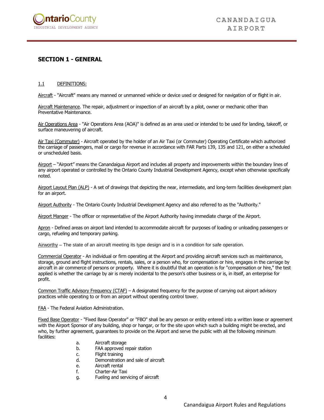

### **SECTION 1 - GENERAL**

#### 1.1 DEFINITIONS:

Aircraft - "Aircraft" means any manned or unmanned vehicle or device used or designed for navigation of or flight in air.

Aircraft Maintenance. The repair, adjustment or inspection of an aircraft by a pilot, owner or mechanic other than Preventative Maintenance.

Air Operations Area - "Air Operations Area (AOA)" is defined as an area used or intended to be used for landing, takeoff, or surface maneuvering of aircraft.

Air Taxi (Commuter) - Aircraft operated by the holder of an Air Taxi (or Commuter) Operating Certificate which authorized the carriage of passengers, mail or cargo for revenue in accordance with FAR Parts 139, 135 and 121, on either a scheduled or unscheduled basis.

Airport – "Airport" means the Canandaigua Airport and includes all property and improvements within the boundary lines of any airport operated or controlled by the Ontario County Industrial Development Agency, except when otherwise specifically noted.

Airport Layout Plan (ALP) - A set of drawings that depicting the near, intermediate, and long-term facilities development plan for an airport.

Airport Authority - The Ontario County Industrial Development Agency and also referred to as the "Authority."

Airport Manger - The officer or representative of the Airport Authority having immediate charge of the Airport.

Apron - Defined areas on airport land intended to accommodate aircraft for purposes of loading or unloading passengers or cargo, refueling and temporary parking.

Airworthy – The state of an aircraft meeting its type design and is in a condition for safe operation.

Commercial Operator - An individual or firm operating at the Airport and providing aircraft services such as maintenance, storage, ground and flight instructions, rentals, sales, or a person who, for compensation or hire, engages in the carriage by aircraft in air commerce of persons or property. Where it is doubtful that an operation is for "compensation or hire," the test applied is whether the carriage by air is merely incidental to the person's other business or is, in itself, an enterprise for profit.

Common Traffic Advisory Frequency (CTAF) – A designated frequency for the purpose of carrying out airport advisory practices while operating to or from an airport without operating control tower.

FAA - The Federal Aviation Administration.

Fixed Base Operator - "Fixed Base Operator" or "FBO" shall be any person or entity entered into a written lease or agreement with the Airport Sponsor of any building, shop or hangar, or for the site upon which such a building might be erected, and who, by further agreement, guarantees to provide on the Airport and serve the public with all the following minimum facilities:

- a. Aircraft storage
- b. FAA approved repair station
- c. Flight training
- d. Demonstration and sale of aircraft
- e. Aircraft rental
- f. Charter-Air Taxi
- g. Fueling and servicing of aircraft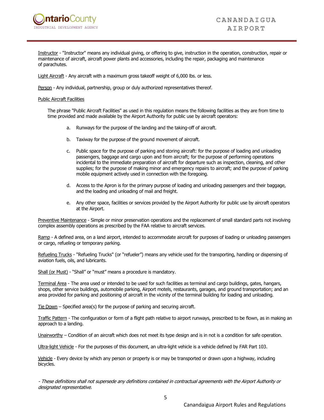

Instructor - "Instructor" means any individual giving, or offering to give, instruction in the operation, construction, repair or maintenance of aircraft, aircraft power plants and accessories, including the repair, packaging and maintenance of parachutes.

Light Aircraft - Any aircraft with a maximum gross takeoff weight of 6,000 lbs. or less.

Person - Any individual, partnership, group or duly authorized representatives thereof.

#### Public Aircraft Facilities

The phrase "Public Aircraft Facilities" as used in this regulation means the following facilities as they are from time to time provided and made available by the Airport Authority for public use by aircraft operators:

- a. Runways for the purpose of the landing and the taking-off of aircraft.
- b. Taxiway for the purpose of the ground movement of aircraft.
- c. Public space for the purpose of parking and storing aircraft: for the purpose of loading and unloading passengers, baggage and cargo upon and from aircraft; for the purpose of performing operations incidental to the immediate preparation of aircraft for departure such as inspection, cleaning, and other supplies; for the purpose of making minor and emergency repairs to aircraft; and the purpose of parking mobile equipment actively used in connection with the foregoing.
- d. Access to the Apron is for the primary purpose of loading and unloading passengers and their baggage, and the loading and unloading of mail and freight.
- e. Any other space, facilities or services provided by the Airport Authority for public use by aircraft operators at the Airport.

Preventive Maintenance - Simple or minor preservation operations and the replacement of small standard parts not involving complex assembly operations as prescribed by the FAA relative to aircraft services.

Ramp - A defined area, on a land airport, intended to accommodate aircraft for purposes of loading or unloading passengers or cargo, refueling or temporary parking.

Refueling Trucks - "Refueling Trucks" (or "refueler") means any vehicle used for the transporting, handling or dispensing of aviation fuels, oils, and lubricants.

Shall (or Must) - "Shall" or "must" means a procedure is mandatory.

Terminal Area - The area used or intended to be used for such facilities as terminal and cargo buildings, gates, hangars, shops, other service buildings, automobile parking, Airport motels, restaurants, garages, and ground transportation; and an area provided for parking and positioning of aircraft in the vicinity of the terminal building for loading and unloading.

Tie Down – Specified area(s) for the purpose of parking and securing aircraft.

Traffic Pattern - The configuration or form of a flight path relative to airport runways, prescribed to be flown, as in making an approach to a landing.

Unairworthy – Condition of an aircraft which does not meet its type design and is in not is a condition for safe operation.

Ultra-light Vehicle - For the purposes of this document, an ultra-light vehicle is a vehicle defined by FAR Part 103.

Vehicle - Every device by which any person or property is or may be transported or drawn upon a highway, including bicycles.

- These definitions shall not supersede any definitions contained in contractual agreements with the Airport Authority or designated representative.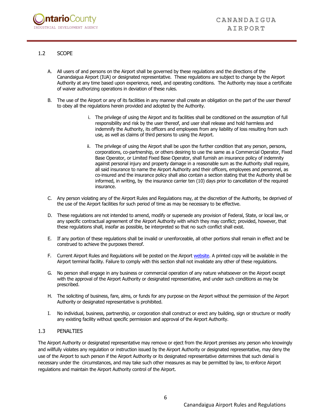

#### 1.2 SCOPE

- A. All users of and persons on the Airport shall be governed by these regulations and the directions of the Canandaigua Airport (IUA) or designated representative. These regulations are subject to change by the Airport Authority at any time based upon experience, need, and operating conditions. The Authority may issue a certificate of waiver authorizing operations in deviation of these rules.
- B. The use of the Airport or any of its facilities in any manner shall create an obligation on the part of the user thereof to obey all the regulations herein provided and adopted by the Authority.
	- i. The privilege of using the Airport and its facilities shall be conditioned on the assumption of full responsibility and risk by the user thereof, and user shall release and hold harmless and indemnify the Authority, its officers and employees from any liability of loss resulting from such use, as well as claims of third persons to using the Airport.
	- ii. The privilege of using the Airport shall be upon the further condition that any person, persons, corporations, co-partnership, or others desiring to use the same as a Commercial Operator, Fixed Base Operator, or Limited Fixed Base Operator, shall furnish an insurance policy of indemnity against personal injury and property damage in a reasonable sum as the Authority shall require, all said insurance to name the Airport Authority and their officers, employees and personnel, as co-insured and the insurance policy shall also contain a section stating that the Authority shall be informed, in writing, by the insurance carrier ten (10) days prior to cancellation of the required insurance.
- C. Any person violating any of the Airport Rules and Regulations may, at the discretion of the Authority, be deprived of the use of the Airport facilities for such period of time as may be necessary to be effective.
- D. These regulations are not intended to amend, modify or supersede any provision of Federal, State, or local law, or any specific contractual agreement of the Airport Authority with which they may conflict; provided, however, that these regulations shall, insofar as possible, be interpreted so that no such conflict shall exist.
- E. If any portion of these regulations shall be invalid or unenforceable, all other portions shall remain in effect and be construed to achieve the purposes thereof.
- F. Current Airport Rules and Regulations will be posted on the Airport [website.](https://www.flycanandaigua.com/airport-services/) A printed copy will be available in the Airport terminal facility. Failure to comply with this section shall not invalidate any other of these regulations.
- G. No person shall engage in any business or commercial operation of any nature whatsoever on the Airport except with the approval of the Airport Authority or designated representative, and under such conditions as may be prescribed.
- H. The soliciting of business, fare, alms, or funds for any purpose on the Airport without the permission of the Airport Authority or designated representative is prohibited.
- I. No individual, business, partnership, or corporation shall construct or erect any building, sign or structure or modify any existing facility without specific permission and approval of the Airport Authority.

#### 1.3 PENALTIES

The Airport Authority or designated representative may remove or eject from the Airport premises any person who knowingly and willfully violates any regulation or instruction issued by the Airport Authority or designated representative, may deny the use of the Airport to such person if the Airport Authority or its designated representative determines that such denial is necessary under the circumstances, and may take such other measures as may be permitted by law, to enforce Airport regulations and maintain the Airport Authority control of the Airport.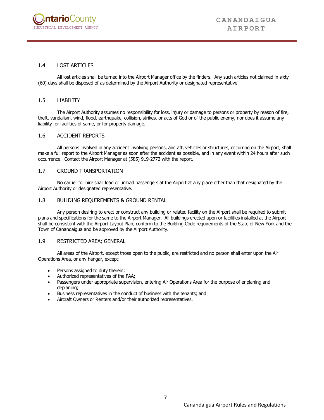

#### 1.4 LOST ARTICLES

All lost articles shall be turned into the Airport Manager office by the finders. Any such articles not claimed in sixty (60) days shall be disposed of as determined by the Airport Authority or designated representative.

#### 1.5 LIABILITY

The Airport Authority assumes no responsibility for loss, injury or damage to persons or property by reason of fire, theft, vandalism, wind, flood, earthquake, collision, strikes, or acts of God or of the public enemy, nor does it assume any liability for facilities of same, or for property damage.

#### 1.6 ACCIDENT REPORTS

All persons involved in any accident involving persons, aircraft, vehicles or structures, occurring on the Airport, shall make a full report to the Airport Manager as soon after the accident as possible, and in any event within 24 hours after such occurrence. Contact the Airport Manager at (585) 919-2772 with the report.

#### 1.7 GROUND TRANSPORTATION

No carrier for hire shall load or unload passengers at the Airport at any place other than that designated by the Airport Authority or designated representative.

#### 1.8 BUILDING REQUIREMENTS & GROUND RENTAL

Any person desiring to erect or construct any building or related facility on the Airport shall be required to submit plans and specifications for the same to the Airport Manager. All buildings erected upon or facilities installed at the Airport shall be consistent with the Airport Layout Plan, conform to the Building Code requirements of the State of New York and the Town of Canandaigua and be approved by the Airport Authority.

#### 1.9 RESTRICTED AREA; GENERAL

All areas of the Airport, except those open to the public, are restricted and no person shall enter upon the Air Operations Area, or any hangar, except:

- Persons assigned to duty therein:
- Authorized representatives of the FAA;
- Passengers under appropriate supervision, entering Air Operations Area for the purpose of enplaning and deplaning;
- Business representatives in the conduct of business with the tenants; and
- Aircraft Owners or Renters and/or their authorized representatives.

7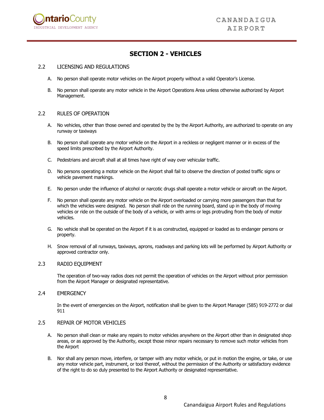

# **SECTION 2 - VEHICLES**

#### 2.2 LICENSING AND REGULATIONS

- A. No person shall operate motor vehicles on the Airport property without a valid Operator's License.
- B. No person shall operate any motor vehicle in the Airport Operations Area unless otherwise authorized by Airport Management.

#### 2.2 RULES OF OPERATION

- A. No vehicles, other than those owned and operated by the by the Airport Authority, are authorized to operate on any runway or taxiways
- B. No person shall operate any motor vehicle on the Airport in a reckless or negligent manner or in excess of the speed limits prescribed by the Airport Authority.
- C. Pedestrians and aircraft shall at all times have right of way over vehicular traffic.
- D. No persons operating a motor vehicle on the Airport shall fail to observe the direction of posted traffic signs or vehicle pavement markings.
- E. No person under the influence of alcohol or narcotic drugs shall operate a motor vehicle or aircraft on the Airport.
- F. No person shall operate any motor vehicle on the Airport overloaded or carrying more passengers than that for which the vehicles were designed. No person shall ride on the running board, stand up in the body of moving vehicles or ride on the outside of the body of a vehicle, or with arms or legs protruding from the body of motor vehicles.
- G. No vehicle shall be operated on the Airport if it is as constructed, equipped or loaded as to endanger persons or property.
- H. Snow removal of all runways, taxiways, aprons, roadways and parking lots will be performed by Airport Authority or approved contractor only.

#### 2.3 RADIO EQUIPMENT

The operation of two-way radios does not permit the operation of vehicles on the Airport without prior permission from the Airport Manager or designated representative.

#### 2.4 EMERGENCY

In the event of emergencies on the Airport, notification shall be given to the Airport Manager (585) 919-2772 or dial 911

#### 2.5 REPAIR OF MOTOR VEHICLES

- A. No person shall clean or make any repairs to motor vehicles anywhere on the Airport other than in designated shop areas, or as approved by the Authority, except those minor repairs necessary to remove such motor vehicles from the Airport
- B. Nor shall any person move, interfere, or tamper with any motor vehicle, or put in motion the engine, or take, or use any motor vehicle part, instrument, or tool thereof, without the permission of the Authority or satisfactory evidence of the right to do so duly presented to the Airport Authority or designated representative.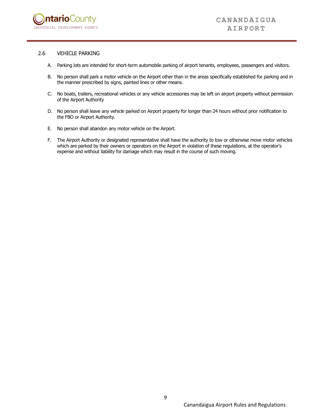

#### 2.6 VEHICLE PARKING

- A. Parking lots are intended for short-term automobile parking of airport tenants, employees, passengers and visitors.
- B. No person shall park a motor vehicle on the Airport other than in the areas specifically established for parking and in the manner prescribed by signs, painted lines or other means.
- C. No boats, trailers, recreational vehicles or any vehicle accessories may be left on airport property without permission of the Airport Authority
- D. No person shall leave any vehicle parked on Airport property for longer than 24 hours without prior notification to the FBO or Airport Authority.
- E. No person shall abandon any motor vehicle on the Airport.
- F. The Airport Authority or designated representative shall have the authority to tow or otherwise move motor vehicles which are parked by their owners or operators on the Airport in violation of these regulations, at the operator's expense and without liability for damage which may result in the course of such moving.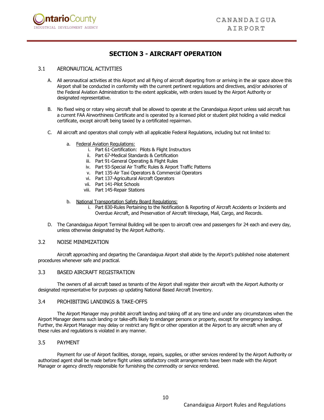

# **SECTION 3 - AIRCRAFT OPERATION**

#### 3.1 AERONAUTICAL ACTIVITIES

- A. All aeronautical activities at this Airport and all flying of aircraft departing from or arriving in the air space above this Airport shall be conducted in conformity with the current pertinent regulations and directives, and/or advisories of the Federal Aviation Administration to the extent applicable, with orders issued by the Airport Authority or designated representative.
- B. No fixed wing or rotary wing aircraft shall be allowed to operate at the Canandaigua Airport unless said aircraft has a current FAA Airworthiness Certificate and is operated by a licensed pilot or student pilot holding a valid medical certificate, except aircraft being taxied by a certificated repairman.
- C. All aircraft and operators shall comply with all applicable Federal Regulations, including but not limited to:
	- a. Federal Aviation Regulations:
		- i. Part 61-Certification: Pilots & Flight Instructors
		- ii. Part 67-Medical Standards & Certification
		- iii. Part 91-General Operating & Flight Rules
		- iv. Part 93-Special Air Traffic Rules & Airport Traffic Patterns
		- v. Part 135-Air Taxi Operators & Commercial Operators
		- vi. Part 137-Agricultural Aircraft Operators
		- vii. Part 141-Pilot Schools
		- viii. Part 145-Repair Stations
	- b. National Transportation Safety Board Regulations:
		- i. Part 830-Rules Pertaining to the Notification & Reporting of Aircraft Accidents or Incidents and Overdue Aircraft, and Preservation of Aircraft Wreckage, Mail, Cargo, and Records.
- D. The Canandaigua Airport Terminal Building will be open to aircraft crew and passengers for 24 each and every day, unless otherwise designated by the Airport Authority.

#### 3.2 NOISE MINIMIZATION

Aircraft approaching and departing the Canandaigua Airport shall abide by the Airport's published noise abatement procedures whenever safe and practical.

#### 3.3 BASED AIRCRAFT REGISTRATION

The owners of all aircraft based as tenants of the Airport shall register their aircraft with the Airport Authority or designated representative for purposes up updating National Based Aircraft Inventory.

#### 3.4 PROHIBITING LANDINGS & TAKE-OFFS

The Airport Manager may prohibit aircraft landing and taking off at any time and under any circumstances when the Airport Manager deems such landing or take-offs likely to endanger persons or property, except for emergency landings. Further, the Airport Manager may delay or restrict any flight or other operation at the Airport to any aircraft when any of these rules and regulations is violated in any manner.

#### 3.5 PAYMENT

Payment for use of Airport facilities, storage, repairs, supplies, or other services rendered by the Airport Authority or authorized agent shall be made before flight unless satisfactory credit arrangements have been made with the Airport Manager or agency directly responsible for furnishing the commodity or service rendered.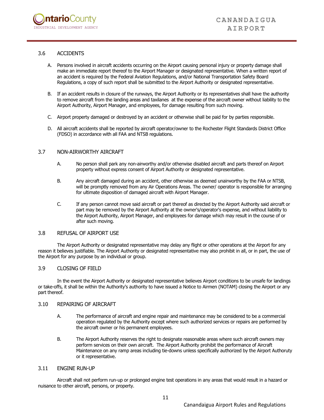

#### 3.6 ACCIDENTS

- A. Persons involved in aircraft accidents occurring on the Airport causing personal injury or property damage shall make an immediate report thereof to the Airport Manager or designated representative. When a written report of an accident is required by the Federal Aviation Regulations, and/or National Transportation Safety Board Regulations, a copy of such report shall be submitted to the Airport Authority or designated representative.
- B. If an accident results in closure of the runways, the Airport Authority or its representatives shall have the authority to remove aircraft from the landing areas and taxilanes at the expense of the aircraft owner without liability to the Airport Authority, Airport Manager, and employees, for damage resulting from such moving.
- C. Airport property damaged or destroyed by an accident or otherwise shall be paid for by parties responsible.
- D. All aircraft accidents shall be reported by aircraft operator/owner to the Rochester Flight Standards District Office (FDSO) in accordance with all FAA and NTSB regulations.

#### 3.7 NON-AIRWORTHY AIRCRAFT

- A. No person shall park any non-airworthy and/or otherwise disabled aircraft and parts thereof on Airport property without express consent of Airport Authority or designated representative.
- B. Any aircraft damaged during an accident, other otherwise as deemed unairworthy by the FAA or NTSB, will be promptly removed from any Air Operations Areas. The owner/ operator is responsible for arranging for ultimate disposition of damaged aircraft with Airport Manager.
- C. If any person cannot move said aircraft or part thereof as directed by the Airport Authority said aircraft or part may be removed by the Airport Authority at the owner's/operator's expense, and without liability to the Airport Authority, Airport Manager, and employees for damage which may result in the course of or after such moving.

#### 3.8 REFUSAL OF AIRPORT USE

The Airport Authority or designated representative may delay any flight or other operations at the Airport for any reason it believes justifiable. The Airport Authority or designated representative may also prohibit in all, or in part, the use of the Airport for any purpose by an individual or group.

#### 3.9 CLOSING OF FIELD

In the event the Airport Authority or designated representative believes Airport conditions to be unsafe for landings or take-offs, it shall be within the Authority's authority to have issued a Notice to Airmen (NOTAM) closing the Airport or any part thereof.

#### 3.10 REPAIRING OF AIRCRAFT

- A. The performance of aircraft and engine repair and maintenance may be considered to be a commercial operation regulated by the Authority except where such authorized services or repairs are performed by the aircraft owner or his permanent employees.
- B. The Airport Authority reserves the right to designate reasonable areas where such aircraft owners may perform services on their own aircraft. The Airport Authority prohibit the performance of Aircraft Maintenance on any ramp areas including tie-downs unless specifically authorized by the Airport Authoruty or it representative.

#### 3.11 ENGINE RUN-UP

Aircraft shall not perform run-up or prolonged engine test operations in any areas that would result in a hazard or nuisance to other aircraft, persons, or property.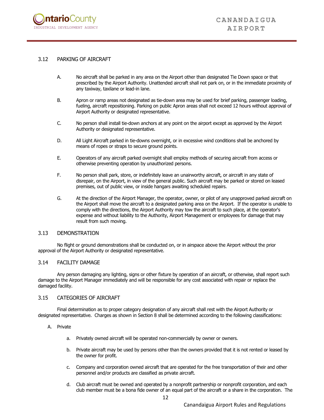

#### 3.12 PARKING OF AIRCRAFT

- A. No aircraft shall be parked in any area on the Airport other than designated Tie Down space or that prescribed by the Airport Authority. Unattended aircraft shall not park on, or in the immediate proximity of any taxiway, taxilane or lead-in lane.
- B. Apron or ramp areas not designated as tie-down area may be used for brief parking, passenger loading, fueling, aircraft repositioning. Parking on public Apron areas shall not exceed 12 hours without approval of Airport Authority or designated representative.
- C. No person shall install tie-down anchors at any point on the airport except as approved by the Airport Authority or designated representative.
- D. All Light Aircraft parked in tie-downs overnight, or in excessive wind conditions shall be anchored by means of ropes or straps to secure ground points.
- E. Operators of any aircraft parked overnight shall employ methods of securing aircraft from access or otherwise preventing operation by unauthorized persons.
- F. No person shall park, store, or indefinitely leave an unairworthy aircraft, or aircraft in any state of disrepair, on the Airport, in view of the general public. Such aircraft may be parked or stored on leased premises, out of public view, or inside hangars awaiting scheduled repairs.
- G. At the direction of the Airport Manager, the operator, owner, or pilot of any unapproved parked aircraft on the Airport shall move the aircraft to a designated parking area on the Airport. If the operator is unable to comply with the directions, the Airport Authority may tow the aircraft to such place, at the operator's expense and without liability to the Authority, Airport Management or employees for damage that may result from such moving.

#### 3.13 DEMONSTRATION

No flight or ground demonstrations shall be conducted on, or in airspace above the Airport without the prior approval of the Airport Authority or designated representative.

#### 3.14 FACILITY DAMAGE

Any person damaging any lighting, signs or other fixture by operation of an aircraft, or otherwise, shall report such damage to the Airport Manager immediately and will be responsible for any cost associated with repair or replace the damaged facility.

#### 3.15 CATEGORIES OF AIRCRAFT

Final determination as to proper category designation of any aircraft shall rest with the Airport Authority or designated representative. Charges as shown in Section 8 shall be determined according to the following classifications:

#### A. Private

- a. Privately owned aircraft will be operated non-commercially by owner or owners.
- b. Private aircraft may be used by persons other than the owners provided that it is not rented or leased by the owner for profit.
- c. Company and corporation owned aircraft that are operated for the free transportation of their and other personnel and/or products are classified as private aircraft.
- d. Club aircraft must be owned and operated by a nonprofit partnership or nonprofit corporation, and each club member must be a bona fide owner of an equal part of the aircraft or a share in the corporation. The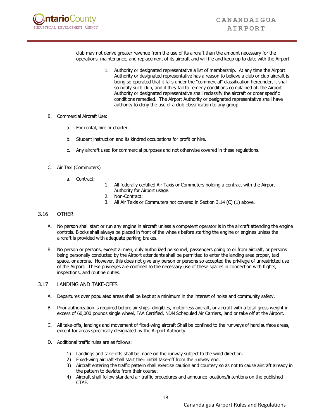

club may not derive greater revenue from the use of its aircraft than the amount necessary for the operations, maintenance, and replacement of its aircraft and will file and keep up to date with the Airport

- 1. Authority or designated representative a list of membership. At any time the Airport Authority or designated representative has a reason to believe a club or club aircraft is being so operated that it falls under the "commercial" classification hereunder, it shall so notify such club, and if they fail to remedy conditions complained of, the Airport Authority or designated representative shall reclassify the aircraft or order specific conditions remedied. The Airport Authority or designated representative shall have authority to deny the use of a club classification to any group.
- B. Commercial Aircraft Use:
	- a. For rental, hire or charter.
	- b. Student instruction and its kindred occupations for profit or hire.
	- c. Any aircraft used for commercial purposes and not otherwise covered in these regulations.
- C. Air Taxi (Commuters)
	- a. Contract:
- 1. All federally certified Air Taxis or Commuters holding a contract with the Airport Authority for Airport usage.
- 2. Non-Contract:
- 3. All Air Taxis or Commuters not covered in Section 3.14 (C) (1) above.

#### 3.16 OTHER

- A. No person shall start or run any engine in aircraft unless a competent operator is in the aircraft attending the engine controls. Blocks shall always be placed in front of the wheels before starting the engine or engines unless the aircraft is provided with adequate parking brakes.
- B. No person or persons, except airmen, duly authorized personnel, passengers going to or from aircraft, or persons being personally conducted by the Airport attendants shall be permitted to enter the landing area proper, taxi space, or aprons. However, this does not give any person or persons so accepted the privilege of unrestricted use of the Airport. These privileges are confined to the necessary use of these spaces in connection with flights, inspections, and routine duties.

#### 3.17 LANDING AND TAKE-OFFS

- A. Departures over populated areas shall be kept at a minimum in the interest of noise and community safety.
- B. Prior authorization is required before air ships, dirigibles, motor-less aircraft, or aircraft with a total gross weight in excess of 60,000 pounds single wheel, FAA Certified, NDN Scheduled Air Carriers, land or take off at the Airport.
- C. All take-offs, landings and movement of fixed-wing aircraft Shall be confined to the runways of hard surface areas, except for areas specifically designated by the Airport Authority.
- D. Additional traffic rules are as follows:
	- 1) Landings and take-offs shall be made on the runway subject to the wind direction.
	- 2) Fixed-wing aircraft shall start their initial take-off from the runway end.
	- 3) Aircraft entering the traffic pattern shall exercise caution and courtesy so as not to cause aircraft already in the pattern to deviate from their course.
	- 4) Aircraft shall follow standard air traffic procedures and announce locations/intentions on the published CTAF.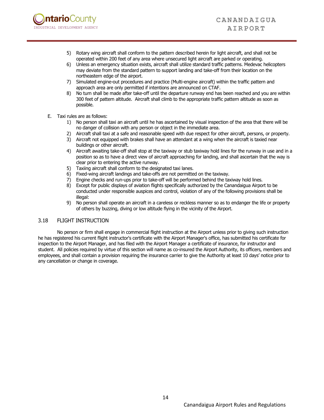

- 5) Rotary wing aircraft shall conform to the pattern described herein for light aircraft, and shall not be operated within 200 feet of any area where unsecured light aircraft are parked or operating.
- 6) Unless an emergency situation exists, aircraft shall utilize standard traffic patterns. Medevac helicopters may deviate from the standard pattern to support landing and take-off from their location on the northeastern edge of the airport.
- 7) Simulated engine-out procedures and practice (Multi-engine aircraft) within the traffic pattern and approach area are only permitted if intentions are announced on CTAF.
- 8) No turn shall be made after take-off until the departure runway end has been reached and you are within 300 feet of pattern altitude. Aircraft shall climb to the appropriate traffic pattern altitude as soon as possible.
- E. Taxi rules are as follows:
	- 1) No person shall taxi an aircraft until he has ascertained by visual inspection of the area that there will be no danger of collision with any person or object in the immediate area.
	- 2) Aircraft shall taxi at a safe and reasonable speed with due respect for other aircraft, persons, or property.
	- 3) Aircraft not equipped with brakes shall have an attendant at a wing when the aircraft is taxied near buildings or other aircraft.
	- 4) Aircraft awaiting take-off shall stop at the taxiway or stub taxiway hold lines for the runway in use and in a position so as to have a direct view of aircraft approaching for landing, and shall ascertain that the way is clear prior to entering the active runway.
	- 5) Taxiing aircraft shall conform to the designated taxi lanes.
	- 6) Fixed-wing aircraft landings and take-offs are not permitted on the taxiway.
	- 7) Engine checks and run-ups prior to take-off will be performed behind the taxiway hold lines.
	- 8) Except for public displays of aviation flights specifically authorized by the Canandaigua Airport to be conducted under responsible auspices and control, violation of any of the following provisions shall be illegal:
	- 9) No person shall operate an aircraft in a careless or reckless manner so as to endanger the life or property of others by buzzing, diving or low altitude flying in the vicinity of the Airport.

#### 3.18 FLIGHT INSTRUCTION

No person or firm shall engage in commercial flight instruction at the Airport unless prior to giving such instruction he has registered his current flight instructor's certificate with the Airport Manager's office, has submitted his certificate for inspection to the Airport Manager, and has filed with the Airport Manager a certificate of insurance, for instructor and student. All policies required by virtue of this section will name as co-insured the Airport Authority, its officers, members and employees, and shall contain a provision requiring the insurance carrier to give the Authority at least 10 days' notice prior to any cancellation or change in coverage.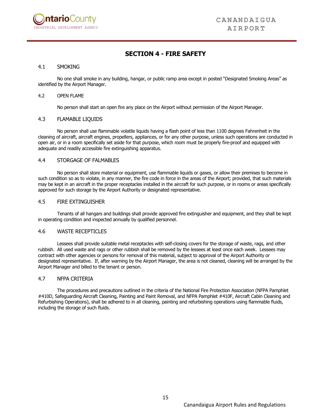

# **SECTION 4 - FIRE SAFETY**

#### 4.1 SMOKING

No one shall smoke in any building, hangar, or public ramp area except in posted "Designated Smoking Areas" as identified by the Airport Manager.

#### 4.2 OPEN FLAME

No person shall start an open fire any place on the Airport without permission of the Airport Manager.

#### 4.3 FLAMABLE LIQUIDS

No person shall use flammable volatile liquids having a flash point of less than 1100 degrees Fahrenheit in the cleaning of aircraft, aircraft engines, propellers, appliances, or for any other purpose, unless such operations are conducted in open air, or in a room specifically set aside for that purpose, which room must be properly fire-proof and equipped with adequate and readily accessible fire extinguishing apparatus.

#### 4.4 STORGAGE OF FALMABLES

No person shall store material or equipment, use flammable liquids or gases, or allow their premises to become in such condition so as to violate, in any manner, the fire code in force in the areas of the Airport; provided, that such materials may be kept in an aircraft in the proper receptacles installed in the aircraft for such purpose, or in rooms or areas specifically approved for such storage by the Airport Authority or designated representative.

#### 4.5 FIRE EXTINGUISHER

Tenants of all hangars and buildings shall provide approved fire extinguisher and equipment, and they shall be kept in operating condition and inspected annually by qualified personnel.

#### 4.6 WASTE RECEPTICLES

Lessees shall provide suitable metal receptacles with self-closing covers for the storage of waste, rags, and other rubbish. All used waste and rags or other rubbish shall be removed by the lessees at least once each week. Lessees may contract with other agencies or persons for removal of this material, subject to approval of the Airport Authority or designated representative. If, after warning by the Airport Manager, the area is not cleaned, cleaning will be arranged by the Airport Manager and billed to the tenant or person.

#### 4.7 NFPA CRITERIA

The procedures and precautions outlined in the criteria of the National Fire Protection Association (NFPA Pamphlet #410D, Safeguarding Aircraft Cleaning, Painting and Paint Removal, and NFPA Pamphlet #410F, Aircraft Cabin Cleaning and Refurbishing Operations), shall be adhered to in all cleaning, painting and refurbishing operations using flammable fluids, including the storage of such fluids.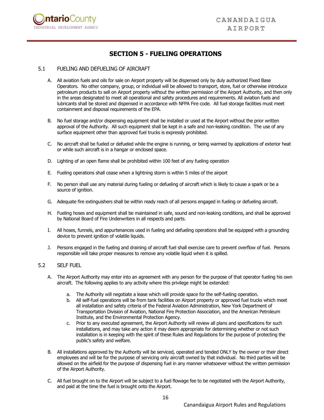

# **SECTION 5 - FUELING OPERATIONS**

#### 5.1 FUELING AND DEFUELING OF AIRCRAFT

- A. All aviation fuels and oils for sale on Airport property will be dispensed only by duly authorized Fixed Base Operators. No other company, group, or individual will be allowed to transport, store, fuel or otherwise introduce petroleum products to sell on Airport property without the written permission of the Airport Authority, and then only in the areas designated to meet all operational and safety procedures and requirements. All aviation fuels and lubricants shall be stored and dispensed in accordance with NFPA Fire code. All fuel storage facilities must meet containment and disposal requirements of the EPA.
- B. No fuel storage and/or dispensing equipment shall be installed or used at the Airport without the prior written approval of the Authority. All such equipment shall be kept in a safe and non-leaking condition. The use of any surface equipment other than approved fuel trucks is expressly prohibited.
- C. No aircraft shall be fueled or defueled while the engine is running, or being warmed by applications of exterior heat or while such aircraft is in a hangar or enclosed space.
- D. Lighting of an open flame shall be prohibited within 100 feet of any fueling operation
- E. Fueling operations shall cease when a lightning storm is within 5 miles of the airport
- F. No person shall use any material during fueling or defueling of aircraft which is likely to cause a spark or be a source of ignition.
- G. Adequate fire extinguishers shall be within ready reach of all persons engaged in fueling or defueling aircraft.
- H. Fueling hoses and equipment shall be maintained in safe, sound and non-leaking conditions, and shall be approved by National Board of Fire Underwriters in all respects and parts.
- I. All hoses, funnels, and appurtenances used in fueling and defueling operations shall be equipped with a grounding device to prevent ignition of volatile liquids.
- J. Persons engaged in the fueling and draining of aircraft fuel shall exercise care to prevent overflow of fuel. Persons responsible will take proper measures to remove any volatile liquid when it is spilled.

#### 5.2 SELF FUEL

- A. The Airport Authority may enter into an agreement with any person for the purpose of that operator fueling his own aircraft. The following applies to any activity where this privilege might be extended:
	- a. The Authority will negotiate a lease which will provide space for the self-fueling operation.
	- b. All self-fuel operations will be from tank facilities on Airport property or approved fuel trucks which meet all installation and safety criteria of the Federal Aviation Administration, New York Department of Transportation Division of Aviation, National Fire Protection Association, and the American Petroleum Institute, and the Environmental Protection Agency.
	- c. Prior to any executed agreement, the Airport Authority will review all plans and specifications for such installations, and may take any action it may deem appropriate for determining whether or not such installation is in keeping with the spirit of these Rules and Regulations for the purpose of protecting the public's safety and welfare.
- B. All installations approved by the Authority will be serviced, operated and tended ONLY by the owner or their direct employees and will be for the purpose of servicing only aircraft owned by that individual. No third parties will be allowed on the airfield for the purpose of dispensing fuel in any manner whatsoever without the written permission of the Airport Authority.
- C. All fuel brought on to the Airport will be subject to a fuel flowage fee to be negotiated with the Airport Authority, and paid at the time the fuel is brought onto the Airport.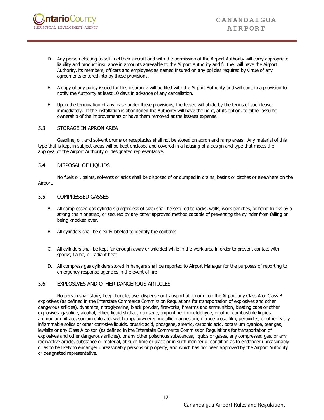

- D. Any person electing to self-fuel their aircraft and with the permission of the Airport Authority will carry appropriate liability and product insurance in amounts agreeable to the Airport Authority and further will have the Airport Authority, its members, officers and employees as named insured on any policies required by virtue of any agreements entered into by those provisions.
- E. A copy of any policy issued for this insurance will be filed with the Airport Authority and will contain a provision to notify the Authority at least 10 days in advance of any cancellation.
- F. Upon the termination of any lease under these provisions, the lessee will abide by the terms of such lease immediately. If the installation is abandoned the Authority will have the right, at its option, to either assume ownership of the improvements or have them removed at the lessees expense.

#### 5.3 STORAGE IN APRON AREA

Gasoline, oil, and solvent drums or receptacles shall not be stored on apron and ramp areas. Any material of this type that is kept in subject areas will be kept enclosed and covered in a housing of a design and type that meets the approval of the Airport Authority or designated representative.

#### 5.4 DISPOSAL OF LIQUIDS

No fuels oil, paints, solvents or acids shall be disposed of or dumped in drains, basins or ditches or elsewhere on the Airport.

#### 5.5 COMPRESSED GASSES

- A. All compressed gas cylinders (regardless of size) shall be secured to racks, walls, work benches, or hand trucks by a strong chain or strap, or secured by any other approved method capable of preventing the cylinder from falling or being knocked over.
- B. All cylinders shall be clearly labeled to identify the contents
- C. All cylinders shall be kept far enough away or shielded while in the work area in order to prevent contact with sparks, flame, or radiant heat
- D. All compress gas cylinders stored in hangars shall be reported to Airport Manager for the purposes of reporting to emergency response agencies in the event of fire

#### 5.6 EXPLOSIVES AND OTHER DANGEROUS ARTICLES

No person shall store, keep, handle, use, dispense or transport at, in or upon the Airport any Class A or Class B explosives (as defined in the Interstate Commerce Commission Regulations for transportation of explosives and other dangerous articles), dynamite, nitroglycerine, black powder, fireworks, firearms and ammunition, blasting caps or other explosives, gasoline, alcohol, ether, liquid shellac, kerosene, turpentine, formaldehyde, or other combustible liquids, ammonium nitrate, sodium chlorate, wet hemp, powdered metallic magnesium, nitrocellulose film, peroxides, or other easily inflammable solids or other corrosive liquids, prussic acid, phosgene, arsenic, carbonic acid, potassium cyanide, tear gas, lewisite or any Class A poison (as defined in the Interstate Commerce Commission Regulations for transportation of explosives and other dangerous articles), or any other poisonous substances, liquids or gases, any compressed gas, or any radioactive article, substance or material, at such time or place or in such manner or condition as to endanger unreasonably or as to be likely to endanger unreasonably persons or property, and which has not been approved by the Airport Authority or designated representative.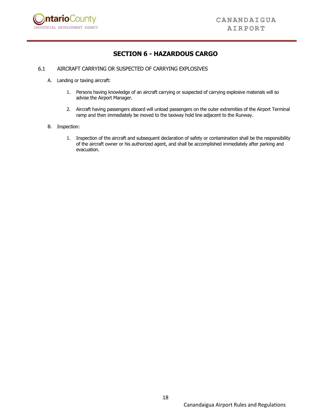

# **SECTION 6 - HAZARDOUS CARGO**

#### 6.1 AIRCRAFT CARRYING OR SUSPECTED OF CARRYING EXPLOSIVES

- A. Landing or taxiing aircraft:
	- 1. Persons having knowledge of an aircraft carrying or suspected of carrying explosive materials will so advise the Airport Manager.
	- 2. Aircraft having passengers aboard will unload passengers on the outer extremities of the Airport Terminal ramp and then immediately be moved to the taxiway hold line adjacent to the Runway.
- B. Inspection:
	- 1. Inspection of the aircraft and subsequent declaration of safety or contamination shall be the responsibility of the aircraft owner or his authorized agent, and shall be accomplished immediately after parking and evacuation.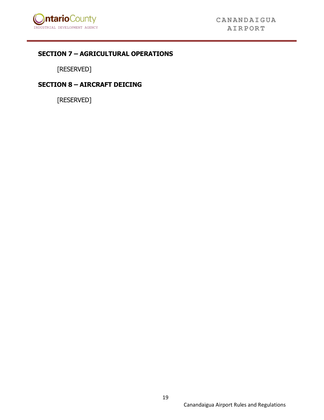

# **SECTION 7 – AGRICULTURAL OPERATIONS**

[RESERVED]

# **SECTION 8 – AIRCRAFT DEICING**

[RESERVED]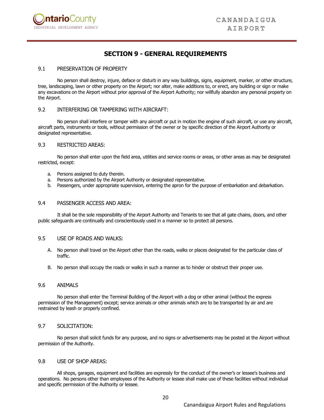

# **SECTION 9 - GENERAL REQUIREMENTS**

#### 9.1 PRESERVATION OF PROPERTY

No person shall destroy, injure, deface or disturb in any way buildings, signs, equipment, marker, or other structure, tree, landscaping, lawn or other property on the Airport; nor alter, make additions to, or erect, any building or sign or make any excavations on the Airport without prior approval of the Airport Authority; nor willfully abandon any personal property on the Airport.

#### 9.2 INTERFERING OR TAMPERING WITH AIRCRAFT:

No person shall interfere or tamper with any aircraft or put in motion the engine of such aircraft, or use any aircraft, aircraft parts, instruments or tools, without permission of the owner or by specific direction of the Airport Authority or designated representative.

#### 9.3 RESTRICTED AREAS:

No person shall enter upon the field area, utilities and service rooms or areas, or other areas as may be designated restricted, except:

- a. Persons assigned to duty therein.
- a. Persons authorized by the Airport Authority or designated representative.
- b. Passengers, under appropriate supervision, entering the apron for the purpose of embarkation and debarkation.

#### 9.4 PASSENGER ACCESS AND AREA:

It shall be the sole responsibility of the Airport Authority and Tenants to see that all gate chains, doors, and other public safeguards are continually and conscientiously used in a manner so to protect all persons.

#### 9.5 USE OF ROADS AND WALKS:

- A. No person shall travel on the Airport other than the roads, walks or places designated for the particular class of traffic.
- B. No person shall occupy the roads or walks in such a manner as to hinder or obstruct their proper use.

#### 9.6 ANIMALS

No person shall enter the Terminal Building of the Airport with a dog or other animal (without the express permission of the Management) except; service animals or other animals which are to be transported by air and are restrained by leash or properly confined.

#### 9.7 SOLICITATION:

No person shall solicit funds for any purpose, and no signs or advertisements may be posted at the Airport without permission of the Authority.

#### 9.8 USE OF SHOP AREAS:

All shops, garages, equipment and facilities are expressly for the conduct of the owner's or lessee's business and operations. No persons other than employees of the Authority or lessee shall make use of these facilities without individual and specific permission of the Authority or lessee.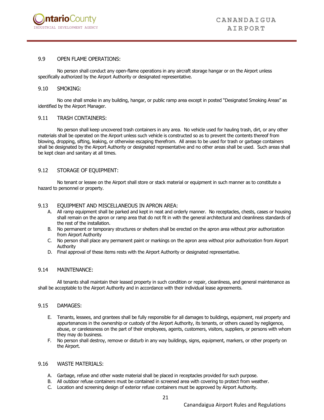

#### 9.9 OPEN FLAME OPERATIONS:

No person shall conduct any open-flame operations in any aircraft storage hangar or on the Airport unless specifically authorized by the Airport Authority or designated representative.

#### 9.10 SMOKING:

No one shall smoke in any building, hangar, or public ramp area except in posted "Designated Smoking Areas" as identified by the Airport Manager.

#### 9.11 TRASH CONTAINERS:

No person shall keep uncovered trash containers in any area. No vehicle used for hauling trash, dirt, or any other materials shall be operated on the Airport unless such vehicle is constructed so as to prevent the contents thereof from blowing, dropping, sifting, leaking, or otherwise escaping therefrom. All areas to be used for trash or garbage containers shall be designated by the Airport Authority or designated representative and no other areas shall be used. Such areas shall be kept clean and sanitary at all times.

#### 9.12 STORAGE OF EQUIPMENT:

No tenant or lessee on the Airport shall store or stack material or equipment in such manner as to constitute a hazard to personnel or property.

#### 9.13 EQUIPMENT AND MISCELLANEOUS IN APRON AREA:

- A. All ramp equipment shall be parked and kept in neat and orderly manner. No receptacles, chests, cases or housing shall remain on the apron or ramp area that do not fit in with the general architectural and cleanliness standards of the rest of the installation.
- B. No permanent or temporary structures or shelters shall be erected on the apron area without prior authorization from Airport Authority
- C. No person shall place any permanent paint or markings on the apron area without prior authorization from Airport Authority
- D. Final approval of these items rests with the Airport Authority or designated representative.

#### 9.14 MAINTENANCE:

All tenants shall maintain their leased property in such condition or repair, cleanliness, and general maintenance as shall be acceptable to the Airport Authority and in accordance with their individual lease agreements.

#### 9.15 DAMAGES:

- E. Tenants, lessees, and grantees shall be fully responsible for all damages to buildings, equipment, real property and appurtenances in the ownership or custody of the Airport Authority, its tenants, or others caused by negligence, abuse, or carelessness on the part of their employees, agents, customers, visitors, suppliers, or persons with whom they may do business.
- F. No person shall destroy, remove or disturb in any way buildings, signs, equipment, markers, or other property on the Airport.

#### 9.16 WASTE MATERIALS:

- A. Garbage, refuse and other waste material shall be placed in receptacles provided for such purpose.
- B. All outdoor refuse containers must be contained in screened area with covering to protect from weather.
- C. Location and screening design of exterior refuse containers must be approved by Airport Authority.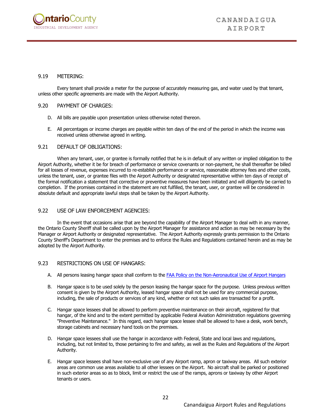

#### 9.19 METERING:

Every tenant shall provide a meter for the purpose of accurately measuring gas, and water used by that tenant, unless other specific agreements are made with the Airport Authority.

#### 9.20 PAYMENT OF CHARGES:

- D. All bills are payable upon presentation unless otherwise noted thereon.
- E. All percentages or income charges are payable within ten days of the end of the period in which the income was received unless otherwise agreed in writing.

#### 9.21 DEFAULT OF OBLIGATIONS:

When any tenant, user, or grantee is formally notified that he is in default of any written or implied obligation to the Airport Authority, whether it be for breach of performance or service covenants or non-payment, he shall thereafter be billed for all losses of revenue, expenses incurred to re-establish performance or service, reasonable attorney fees and other costs, unless the tenant, user, or grantee files with the Airport Authority or designated representative within ten days of receipt of the formal notification a statement that corrective or preventive measures have been initiated and will diligently be carried to completion. If the promises contained in the statement are not fulfilled, the tenant, user, or grantee will be considered in absolute default and appropriate lawful steps shall be taken by the Airport Authority.

#### 9.22 USE OF LAW ENFORCEMENT AGENCIES:

In the event that occasions arise that are beyond the capability of the Airport Manager to deal with in any manner, the Ontario County Sheriff shall be called upon by the Airport Manager for assistance and action as may be necessary by the Manager or Airport Authority or designated representative. The Airport Authority expressly grants permission to the Ontario County Sheriff's Department to enter the premises and to enforce the Rules and Regulations contained herein and as may be adopted by the Airport Authority.

#### 9.23 RESTRICTIONS ON USE OF HANGARS:

- A. All persons leasing hangar space shall conform to th[e FAA Policy on the Non-Aeronautical Use of Airport Hangars](https://www.faa.gov/airports/eastern/nyado_bulletin/media/17-004-faa-policy-on-the-non-aeronautical-use-of-airport-hangars.pdf)
- B. Hangar space is to be used solely by the person leasing the hangar space for the purpose. Unless previous written consent is given by the Airport Authority, leased hangar space shall not be used for any commercial purpose, including, the sale of products or services of any kind, whether or not such sales are transacted for a profit.
- C. Hangar space lessees shall be allowed to perform preventive maintenance on their aircraft, registered for that hangar, of the kind and to the extent permitted by applicable Federal Aviation Administration regulations governing "Preventive Maintenance." In this regard, each hangar space lessee shall be allowed to have a desk, work bench, storage cabinets and necessary hand tools on the premises.
- D. Hangar space lessees shall use the hangar in accordance with Federal, State and local laws and regulations, including, but not limited to, those pertaining to fire and safety, as well as the Rules and Regulations of the Airport Authority.
- E. Hangar space lessees shall have non-exclusive use of any Airport ramp, apron or taxiway areas. All such exterior areas are common use areas available to all other lessees on the Airport. No aircraft shall be parked or positioned in such exterior areas so as to block, limit or restrict the use of the ramps, aprons or taxiway by other Airport tenants or users.